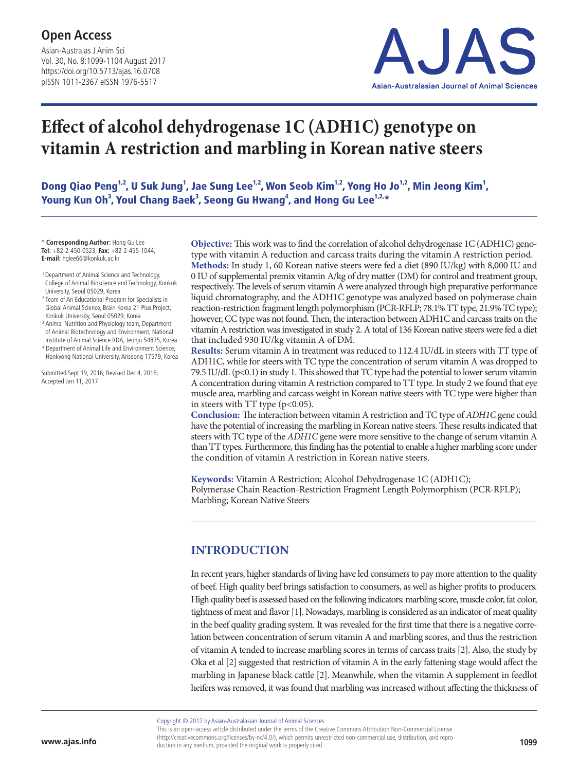Asian-Australas J Anim Sci Vol. 30, No. 8:1099-1104 August 2017 https://doi.org/10.5713/ajas.16.0708 pISSN 1011-2367 eISSN 1976-5517



# **Effect of alcohol dehydrogenase 1C (ADH1C) genotype on vitamin A restriction and marbling in Korean native steers**

Dong Qiao Peng $^{1,2}$ , U Suk Jung $^{1}$ , Jae Sung Lee $^{1,2}$ , Won Seob Kim $^{1,2}$ , Yong Ho Jo $^{1,2}$ , Min Jeong Kim $^{1}$ , Young Kun Oh $^3$ , Youl Chang Baek $^3$ , Seong Gu Hwang $^4$ , and Hong Gu Lee $^{1,2,\ast}$ 

\* **Corresponding Author:** Hong Gu Lee **Tel:** +82-2-450-0523, **Fax:** +82-2-455-1044, **E-mail:** hglee66@konkuk.ac.kr

- 1 Department of Animal Science and Technology, College of Animal Bioscience and Technology, Konkuk University, Seoul 05029, Korea
- <sup>2</sup> Team of An Educational Program for Specialists in Global Animal Science, Brain Korea 21 Plus Project, Konkuk University, Seoul 05029, Korea
- <sup>3</sup> Animal Nutrition and Physiology team, Department of Animal Biotechnology and Environment, National Institute of Animal Science RDA, Jeonju 54875, Korea
- <sup>4</sup> Department of Animal Life and Environment Science, Hankyong National University, Anseong 17579, Korea

Submitted Sept 19, 2016; Revised Dec 4, 2016; Accepted Jan 11, 2017

**Objective:** This work was to find the correlation of alcohol dehydrogenase 1C (ADH1C) genotype with vitamin A reduction and carcass traits during the vitamin A restriction period. **Methods:** In study 1, 60 Korean native steers were fed a diet (890 IU/kg) with 8,000 IU and 0 IU of supplemental premix vitamin A/kg of dry matter (DM) for control and treatment group, respectively. The levels of serum vitamin A were analyzed through high preparative performance liquid chromatography, and the ADH1C genotype was analyzed based on polymerase chain reaction-restriction fragment length polymorphism (PCR-RFLP; 78.1% TT type, 21.9% TC type); however, CC type was not found. Then, the interaction between ADH1C and carcass traits on the vitamin A restriction was investigated in study 2. A total of 136 Korean native steers were fed a diet that included 930 IU/kg vitamin A of DM.

**Results:** Serum vitamin A in treatment was reduced to 112.4 IU/dL in steers with TT type of ADH1C, while for steers with TC type the concentration of serum vitamin A was dropped to 79.5 IU/dL (p<0.1) in study 1. This showed that TC type had the potential to lower serum vitamin A concentration during vitamin A restriction compared to TT type. In study 2 we found that eye muscle area, marbling and carcass weight in Korean native steers with TC type were higher than in steers with TT type  $(p<0.05)$ .

**Conclusion:** The interaction between vitamin A restriction and TC type of *ADH1C* gene could have the potential of increasing the marbling in Korean native steers. These results indicated that steers with TC type of the *ADH1C* gene were more sensitive to the change of serum vitamin A than TT types. Furthermore, this finding has the potential to enable a higher marbling score under the condition of vitamin A restriction in Korean native steers.

**Keywords:** Vitamin A Restriction; Alcohol Dehydrogenase 1C (ADH1C); Polymerase Chain Reaction-Restriction Fragment Length Polymorphism (PCR-RFLP); Marbling; Korean Native Steers

## **INTRODUCTION**

In recent years, higher standards of living have led consumers to pay more attention to the quality of beef. High quality beef brings satisfaction to consumers, as well as higher profits to producers. High quality beef is assessed based on the following indicators: marbling score, muscle color, fat color, tightness of meat and flavor [1]. Nowadays, marbling is considered as an indicator of meat quality in the beef quality grading system. It was revealed for the first time that there is a negative correlation between concentration of serum vitamin A and marbling scores, and thus the restriction of vitamin A tended to increase marbling scores in terms of carcass traits [2]. Also, the study by Oka et al [2] suggested that restriction of vitamin A in the early fattening stage would affect the marbling in Japanese black cattle [2]. Meanwhile, when the vitamin A supplement in feedlot heifers was removed, it was found that marbling was increased without affecting the thickness of

Copyright © 2017 by Asian-Australasian Journal of Animal Sciences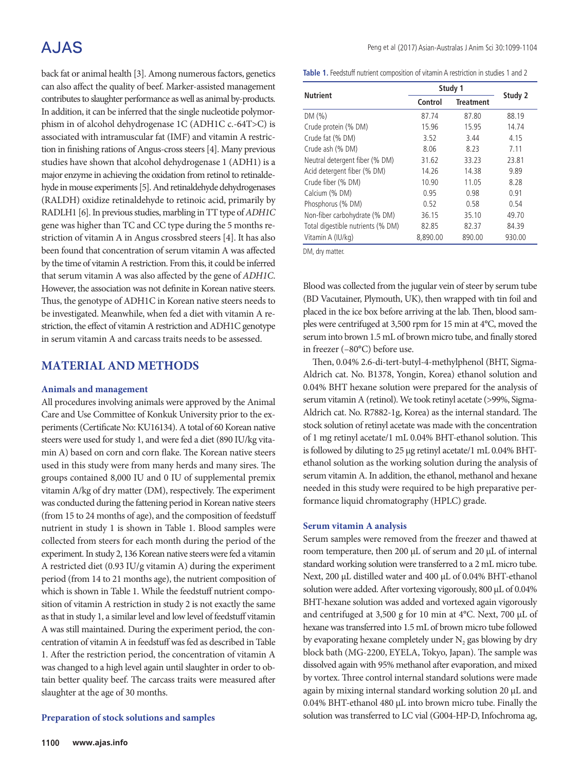# A.JAS

back fat or animal health [3]. Among numerous factors, genetics can also affect the quality of beef. Marker-assisted management contributes to slaughter performance as well as animal by-products. In addition, it can be inferred that the single nucleotide polymorphism in of alcohol dehydrogenase 1C (ADH1C c.-64T>C) is associated with intramuscular fat (IMF) and vitamin A restriction in finishing rations of Angus-cross steers [4]. Many previous studies have shown that alcohol dehydrogenase 1 (ADH1) is a major enzyme in achieving the oxidation from retinol to retinaldehyde in mouse experiments [5]. And retinaldehyde dehydrogenases (RALDH) oxidize retinaldehyde to retinoic acid, primarily by RADLH1 [6]. In previous studies, marbling in TT type of *ADH1C* gene was higher than TC and CC type during the 5 months restriction of vitamin A in Angus crossbred steers [4]. It has also been found that concentration of serum vitamin A was affected by the time of vitamin A restriction. From this, it could be inferred that serum vitamin A was also affected by the gene of *ADH1C*. However, the association was not definite in Korean native steers. Thus, the genotype of ADH1C in Korean native steers needs to be investigated. Meanwhile, when fed a diet with vitamin A restriction, the effect of vitamin A restriction and ADH1C genotype in serum vitamin A and carcass traits needs to be assessed.

## **MATERIAL AND METHODS**

### **Animals and management**

All procedures involving animals were approved by the Animal Care and Use Committee of Konkuk University prior to the experiments (Certificate No: KU16134). A total of 60 Korean native steers were used for study 1, and were fed a diet (890 IU/kg vitamin A) based on corn and corn flake. The Korean native steers used in this study were from many herds and many sires. The groups contained 8,000 IU and 0 IU of supplemental premix vitamin A/kg of dry matter (DM), respectively. The experiment was conducted during the fattening period in Korean native steers (from 15 to 24 months of age), and the composition of feedstuff nutrient in study 1 is shown in Table 1. Blood samples were collected from steers for each month during the period of the experiment. In study 2, 136 Korean native steers were fed a vitamin A restricted diet (0.93 IU/g vitamin A) during the experiment period (from 14 to 21 months age), the nutrient composition of which is shown in Table 1. While the feedstuff nutrient composition of vitamin A restriction in study 2 is not exactly the same as that in study 1, a similar level and low level of feedstuff vitamin A was still maintained. During the experiment period, the concentration of vitamin A in feedstuff was fed as described in Table 1. After the restriction period, the concentration of vitamin A was changed to a high level again until slaughter in order to obtain better quality beef. The carcass traits were measured after slaughter at the age of 30 months.

### **Preparation of stock solutions and samples**

**Table 1.** Feedstuff nutrient composition of vitamin A restriction in studies 1 and 2

| <b>Nutrient</b>                   | Study 1  | Study 2          |        |  |
|-----------------------------------|----------|------------------|--------|--|
|                                   | Control  | <b>Treatment</b> |        |  |
| DM(%)                             | 87.74    | 87.80            | 88.19  |  |
| Crude protein (% DM)              | 15.96    | 15.95            | 14.74  |  |
| Crude fat (% DM)                  | 3.52     | 3.44             | 4.15   |  |
| Crude ash (% DM)                  | 8.06     | 8.23             | 7.11   |  |
| Neutral detergent fiber (% DM)    | 31.62    | 33.23            | 23.81  |  |
| Acid detergent fiber (% DM)       | 14.26    | 14.38            | 9.89   |  |
| Crude fiber (% DM)                | 10.90    | 11.05            | 8.28   |  |
| Calcium (% DM)                    | 0.95     | 0.98             | 0.91   |  |
| Phosphorus (% DM)                 | 0.52     | 0.58             | 0.54   |  |
| Non-fiber carbohydrate (% DM)     | 36.15    | 35.10            | 49.70  |  |
| Total digestible nutrients (% DM) | 82.85    | 82.37            | 84.39  |  |
| Vitamin A (IU/kg)                 | 8,890.00 | 890.00           | 930.00 |  |

DM, dry matter.

Blood was collected from the jugular vein of steer by serum tube (BD Vacutainer, Plymouth, UK), then wrapped with tin foil and placed in the ice box before arriving at the lab. Then, blood samples were centrifuged at 3,500 rpm for 15 min at 4°C, moved the serum into brown 1.5 mL of brown micro tube, and finally stored in freezer (–80°C) before use.

Then, 0.04% 2.6-di-tert-butyl-4-methylphenol (BHT, Sigma-Aldrich cat. No. B1378, Yongin, Korea) ethanol solution and 0.04% BHT hexane solution were prepared for the analysis of serum vitamin A (retinol). We took retinyl acetate (>99%, Sigma-Aldrich cat. No. R7882-1g, Korea) as the internal standard. The stock solution of retinyl acetate was made with the concentration of 1 mg retinyl acetate/1 mL 0.04% BHT-ethanol solution. This is followed by diluting to 25 μg retinyl acetate/1 mL 0.04% BHTethanol solution as the working solution during the analysis of serum vitamin A. In addition, the ethanol, methanol and hexane needed in this study were required to be high preparative performance liquid chromatography (HPLC) grade.

### **Serum vitamin A analysis**

Serum samples were removed from the freezer and thawed at room temperature, then 200 μL of serum and 20 μL of internal standard working solution were transferred to a 2 mL micro tube. Next, 200 μL distilled water and 400 μL of 0.04% BHT-ethanol solution were added. After vortexing vigorously, 800 μL of 0.04% BHT-hexane solution was added and vortexed again vigorously and centrifuged at 3,500 g for 10 min at 4°C. Next, 700 μL of hexane was transferred into 1.5 mL of brown micro tube followed by evaporating hexane completely under N<sub>2</sub> gas blowing by dry block bath (MG-2200, EYELA, Tokyo, Japan). The sample was dissolved again with 95% methanol after evaporation, and mixed by vortex. Three control internal standard solutions were made again by mixing internal standard working solution 20 μL and 0.04% BHT-ethanol 480 μL into brown micro tube. Finally the solution was transferred to LC vial (G004-HP-D, Infochroma ag,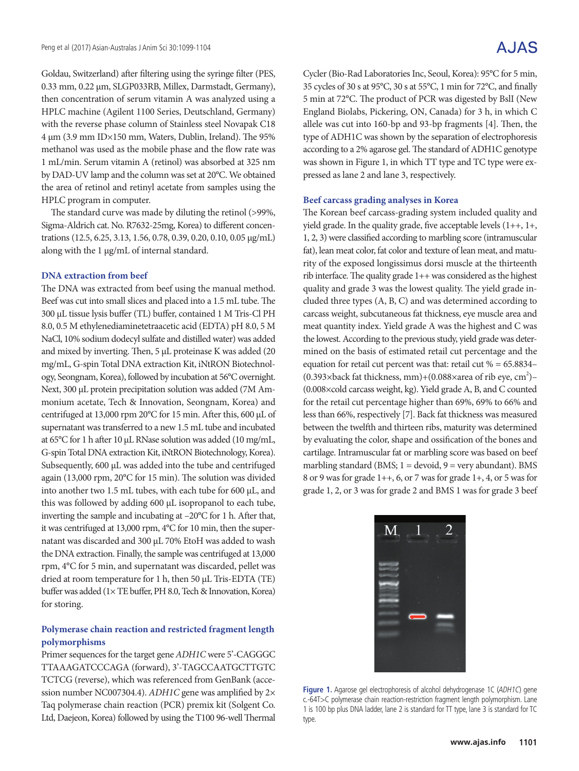Goldau, Switzerland) after filtering using the syringe filter (PES, 0.33 mm, 0.22 μm, SLGP033RB, Millex, Darmstadt, Germany), then concentration of serum vitamin A was analyzed using a HPLC machine (Agilent 1100 Series, Deutschland, Germany) with the reverse phase column of Stainless steel Novapak C18 4 μm (3.9 mm ID×150 mm, Waters, Dublin, Ireland). The 95% methanol was used as the mobile phase and the flow rate was 1 mL/min. Serum vitamin A (retinol) was absorbed at 325 nm by DAD-UV lamp and the column was set at 20°C. We obtained the area of retinol and retinyl acetate from samples using the HPLC program in computer.

The standard curve was made by diluting the retinol (>99%, Sigma-Aldrich cat. No. R7632-25mg, Korea) to different concentrations (12.5, 6.25, 3.13, 1.56, 0.78, 0.39, 0.20, 0.10, 0.05 μg/mL) along with the 1 μg/mL of internal standard.

#### **DNA extraction from beef**

The DNA was extracted from beef using the manual method. Beef was cut into small slices and placed into a 1.5 mL tube. The 300 μL tissue lysis buffer (TL) buffer, contained 1 M Tris-Cl PH 8.0, 0.5 M ethylenediaminetetraacetic acid (EDTA) pH 8.0, 5 M NaCl, 10% sodium dodecyl sulfate and distilled water) was added and mixed by inverting. Then, 5 μL proteinase K was added (20 mg/mL, G-spin Total DNA extraction Kit, iNtRON Biotechnology, Seongnam, Korea), followed by incubation at 56°C overnight. Next, 300 μL protein precipitation solution was added (7M Ammonium acetate, Tech & Innovation, Seongnam, Korea) and centrifuged at 13,000 rpm 20°C for 15 min. After this, 600 μL of supernatant was transferred to a new 1.5 mL tube and incubated at 65°C for 1 h after 10 μL RNase solution was added (10 mg/mL, G-spin Total DNA extraction Kit, iNtRON Biotechnology, Korea). Subsequently, 600 μL was added into the tube and centrifuged again (13,000 rpm, 20°C for 15 min). The solution was divided into another two 1.5 mL tubes, with each tube for 600 μL, and this was followed by adding 600 μL isopropanol to each tube, inverting the sample and incubating at –20°C for 1 h. After that, it was centrifuged at 13,000 rpm, 4°C for 10 min, then the supernatant was discarded and 300 μL 70% EtoH was added to wash the DNA extraction. Finally, the sample was centrifuged at 13,000 rpm, 4°C for 5 min, and supernatant was discarded, pellet was dried at room temperature for 1 h, then 50 μL Tris-EDTA (TE) buffer was added (1× TE buffer, PH 8.0, Tech & Innovation, Korea) for storing.

### **Polymerase chain reaction and restricted fragment length polymorphisms**

Primer sequences for the target gene *ADH1C* were 5'-CAGGGC TTAAAGATCCCAGA (forward), 3'-TAGCCAATGCTTGTC TCTCG (reverse), which was referenced from GenBank (accession number NC007304.4). *ADH1C* gene was amplified by 2× Taq polymerase chain reaction (PCR) premix kit (Solgent Co. Ltd, Daejeon, Korea) followed by using the T100 96-well Thermal Cycler (Bio-Rad Laboratories Inc, Seoul, Korea): 95°C for 5 min, 35 cycles of 30 s at 95°C, 30 s at 55°C, 1 min for 72°C, and finally 5 min at 72°C. The product of PCR was digested by BslI (New England Biolabs, Pickering, ON, Canada) for 3 h, in which C allele was cut into 160-bp and 93-bp fragments [4]. Then, the type of ADH1C was shown by the separation of electrophoresis according to a 2% agarose gel. The standard of ADH1C genotype was shown in Figure 1, in which TT type and TC type were expressed as lane 2 and lane 3, respectively.

#### **Beef carcass grading analyses in Korea**

The Korean beef carcass-grading system included quality and yield grade. In the quality grade, five acceptable levels (1++, 1+, 1, 2, 3) were classified according to marbling score (intramuscular fat), lean meat color, fat color and texture of lean meat, and maturity of the exposed longissimus dorsi muscle at the thirteenth rib interface. The quality grade 1++ was considered as the highest quality and grade 3 was the lowest quality. The yield grade included three types (A, B, C) and was determined according to carcass weight, subcutaneous fat thickness, eye muscle area and meat quantity index. Yield grade A was the highest and C was the lowest. According to the previous study, yield grade was determined on the basis of estimated retail cut percentage and the equation for retail cut percent was that: retail cut  $% = 65.8834-$ (0.393×back fat thickness, mm)+(0.088×area of rib eye, cm<sup>2</sup>)-(0.008×cold carcass weight, kg). Yield grade A, B, and C counted for the retail cut percentage higher than 69%, 69% to 66% and less than 66%, respectively [7]. Back fat thickness was measured between the twelfth and thirteen ribs, maturity was determined by evaluating the color, shape and ossification of the bones and cartilage. Intramuscular fat or marbling score was based on beef marbling standard (BMS;  $1 =$  devoid,  $9 =$  very abundant). BMS 8 or 9 was for grade 1++, 6, or 7 was for grade 1+, 4, or 5 was for grade 1, 2, or 3 was for grade 2 and BMS 1 was for grade 3 beef

| $\overline{\text{M}}$<br><b>State of Local Division</b>             | <b>Communication</b><br><b>STATISTICS</b> | the most |
|---------------------------------------------------------------------|-------------------------------------------|----------|
|                                                                     |                                           |          |
|                                                                     |                                           |          |
| <b>Contract Contract Contract</b><br><b>State of the Assessment</b> |                                           |          |
|                                                                     |                                           |          |

Figure 1. Agarose gel electrophoresis of alcohol dehydrogenase 1C (ADH1C) gene c.-64T>C polymerase chain reaction-restriction fragment length polymorphism. Lane 1 is 100 bp plus DNA ladder, lane 2 is standard for TT type, lane 3 is standard for TC type.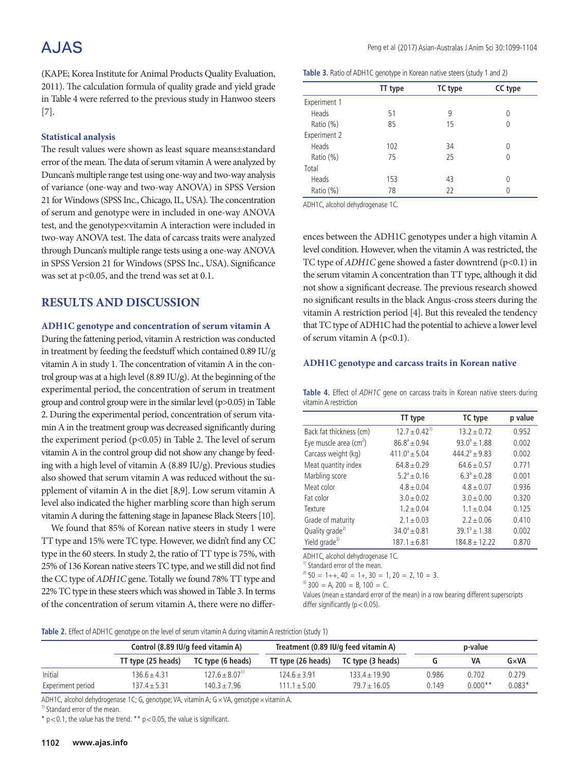# A.JAS

(KAPE; Korea Institute for Animal Products Quality Evaluation, 2011). The calculation formula of quality grade and yield grade in Table 4 were referred to the previous study in Hanwoo steers [7].

### **Statistical analysis**

The result values were shown as least square means±standard error of the mean. The data of serum vitamin A were analyzed by Duncan's multiple range test using one-way and two-way analysis of variance (one-way and two-way ANOVA) in SPSS Version 21 for Windows (SPSS Inc., Chicago, IL, USA). The concentration of serum and genotype were in included in one-way ANOVA test, and the genotype×vitamin A interaction were included in two-way ANOVA test. The data of carcass traits were analyzed through Duncan's multiple range tests using a one-way ANOVA in SPSS Version 21 for Windows (SPSS Inc., USA). Significance was set at  $p<0.05$ , and the trend was set at 0.1.

## **RESULTS AND DISCUSSION**

### **ADH1C genotype and concentration of serum vitamin A**

During the fattening period, vitamin A restriction was conducted in treatment by feeding the feedstuff which contained 0.89 IU/g vitamin A in study 1. The concentration of vitamin A in the control group was at a high level (8.89 IU/g). At the beginning of the experimental period, the concentration of serum in treatment group and control group were in the similar level (p>0.05) in Table 2. During the experimental period, concentration of serum vitamin A in the treatment group was decreased significantly during the experiment period  $(p<0.05)$  in Table 2. The level of serum vitamin A in the control group did not show any change by feeding with a high level of vitamin A (8.89 IU/g). Previous studies also showed that serum vitamin A was reduced without the supplement of vitamin A in the diet [8,9]. Low serum vitamin A level also indicated the higher marbling score than high serum vitamin A during the fattening stage in Japanese Black Steers [10].

We found that 85% of Korean native steers in study 1 were TT type and 15% were TC type. However, we didn't find any CC type in the 60 steers. In study 2, the ratio of TT type is 75%, with 25% of 136 Korean native steers TC type, and we still did not find the CC type of *ADH1C* gene. Totally we found 78% TT type and 22% TC type in these steers which was showed in Table 3. In terms of the concentration of serum vitamin A, there were no differ-

|  | Table 3. Ratio of ADH1C genotype in Korean native steers (study 1 and 2) |  |  |  |  |
|--|--------------------------------------------------------------------------|--|--|--|--|
|  |                                                                          |  |  |  |  |

|              | TT type | TC type | CC type |
|--------------|---------|---------|---------|
| Experiment 1 |         |         |         |
| Heads        | 51      | 9       | 0       |
| Ratio (%)    | 85      | 15      |         |
| Experiment 2 |         |         |         |
| Heads        | 102     | 34      | 0       |
| Ratio (%)    | 75      | 25      | 0       |
| Total        |         |         |         |
| Heads        | 153     | 43      | 0       |
| Ratio (%)    | 78      | 22      | 0       |

ADH1C, alcohol dehydrogenase 1C.

ences between the ADH1C genotypes under a high vitamin A level condition. However, when the vitamin A was restricted, the TC type of *ADH1C* gene showed a faster downtrend (p<0.1) in the serum vitamin A concentration than TT type, although it did not show a significant decrease. The previous research showed no significant results in the black Angus-cross steers during the vitamin A restriction period [4]. But this revealed the tendency that TC type of ADH1C had the potential to achieve a lower level of serum vitamin A  $(p<0.1)$ .

#### **ADH1C genotype and carcass traits in Korean native**

Table 4. Effect of ADH1C gene on carcass traits in Korean native steers during vitamin A restriction

|                               | TT type               | TC type           | p value |
|-------------------------------|-----------------------|-------------------|---------|
| Back fat thickness (cm)       | $12.7 \pm 0.42^{1}$   | $13.2 + 0.72$     | 0.952   |
| Eye muscle area $\text{(cm)}$ | $86.8^{\circ} + 0.94$ | $93.0^{b} + 1.88$ | 0.002   |
| Carcass weight (kg)           | $411.0^a \pm 5.04$    | $444.2^b + 9.83$  | 0.002   |
| Meat quantity index           | $64.8 + 0.29$         | $64.6 + 0.57$     | 0.771   |
| Marbling score                | $5.2^{\circ} + 0.16$  | $6.3^{b} + 0.28$  | 0.001   |
| Meat color                    | $4.8 + 0.04$          | $4.8 + 0.07$      | 0.936   |
| Fat color                     | $3.0 + 0.02$          | $3.0 + 0.00$      | 0.320   |
| Texture                       | $1.2 \pm 0.04$        | $1.1 \pm 0.04$    | 0.125   |
| Grade of maturity             | $2.1 \pm 0.03$        | $2.2 \pm 0.06$    | 0.410   |
| Quality grade <sup>2)</sup>   | $34.0^{\circ} + 0.81$ | $39.1^b + 1.38$   | 0.002   |
| Yield grade <sup>3)</sup>     | $187.1 + 6.81$        | $184.8 \pm 12.22$ | 0.870   |

ADH1C, alcohol dehydrogenase 1C.

 $<sup>1</sup>$  Standard error of the mean.</sup>

 $2^{2}$  50 = 1++, 40 = 1+, 30 = 1, 20 = 2, 10 = 3.

 $3)$  300 = A, 200 = B, 100 = C.

Values (mean  $\pm$  standard error of the mean) in a row bearing different superscripts differ significantly ( $p < 0.05$ ).

**Table 2.** Effect of ADH1C genotype on the level of serum vitamin A during vitamin A restriction (study 1)

|                   | Control (8.89 IU/g feed vitamin A) |                                | Treatment (0.89 IU/g feed vitamin A) |                   | p-value |           |          |
|-------------------|------------------------------------|--------------------------------|--------------------------------------|-------------------|---------|-----------|----------|
|                   | TT type (25 heads)                 | TC type (6 heads)              | TT type (26 heads)                   | TC type (3 heads) | u       | VA        | G×VA     |
| Initial           | 136.6+4.31                         | $127.6 \pm 8.07$ <sup>1)</sup> | $124.6 + 3.91$                       | $133.4 \pm 19.90$ | 0.986   | 0.702     | 0.279    |
| Experiment period | $137.4 + 5.31$                     | $140.3 \pm 7.96$               | $111.1 + 5.00$                       | $79.7 \pm 16.05$  | 0.149   | $0.000**$ | $0.083*$ |

ADH1C, alcohol dehydrogenase 1C; G, genotype; VA, vitamin A; G × VA, genotype × vitamin A.

<sup>1)</sup> Standard error of the mean.

 $*$  p < 0.1, the value has the trend.  $*$  p < 0.05, the value is significant.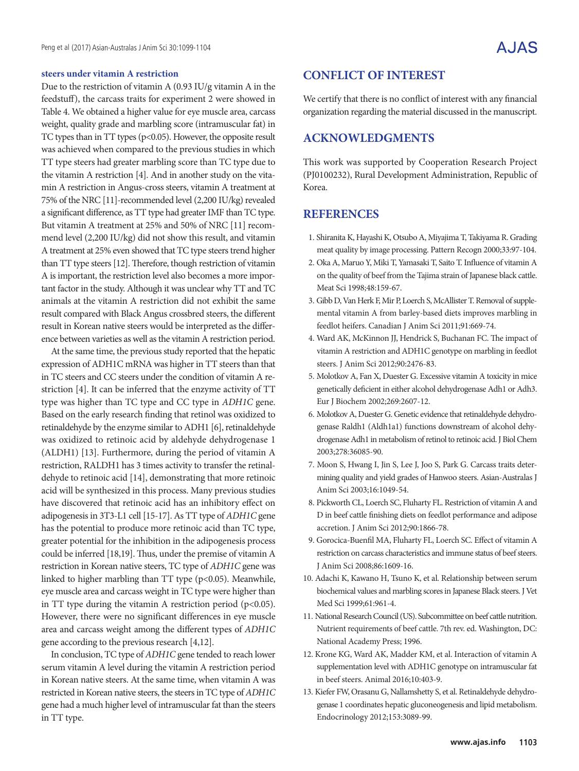#### **steers under vitamin A restriction**

Due to the restriction of vitamin A (0.93 IU/g vitamin A in the feedstuff), the carcass traits for experiment 2 were showed in Table 4. We obtained a higher value for eye muscle area, carcass weight, quality grade and marbling score (intramuscular fat) in TC types than in TT types (p<0.05). However, the opposite result was achieved when compared to the previous studies in which TT type steers had greater marbling score than TC type due to the vitamin A restriction [4]. And in another study on the vitamin A restriction in Angus-cross steers, vitamin A treatment at 75% of the NRC [11]-recommended level (2,200 IU/kg) revealed a significant difference, as TT type had greater IMF than TC type. But vitamin A treatment at 25% and 50% of NRC [11] recommend level (2,200 IU/kg) did not show this result, and vitamin A treatment at 25% even showed that TC type steers trend higher than TT type steers [12]. Therefore, though restriction of vitamin A is important, the restriction level also becomes a more important factor in the study. Although it was unclear why TT and TC animals at the vitamin A restriction did not exhibit the same result compared with Black Angus crossbred steers, the different result in Korean native steers would be interpreted as the difference between varieties as well as the vitamin A restriction period.

At the same time, the previous study reported that the hepatic expression of ADH1C mRNA was higher in TT steers than that in TC steers and CC steers under the condition of vitamin A restriction [4]. It can be inferred that the enzyme activity of TT type was higher than TC type and CC type in *ADH1C* gene. Based on the early research finding that retinol was oxidized to retinaldehyde by the enzyme similar to ADH1 [6], retinaldehyde was oxidized to retinoic acid by aldehyde dehydrogenase 1 (ALDH1) [13]. Furthermore, during the period of vitamin A restriction, RALDH1 has 3 times activity to transfer the retinaldehyde to retinoic acid [14], demonstrating that more retinoic acid will be synthesized in this process. Many previous studies have discovered that retinoic acid has an inhibitory effect on adipogenesis in 3T3-L1 cell [15-17]. As TT type of *ADH1C* gene has the potential to produce more retinoic acid than TC type, greater potential for the inhibition in the adipogenesis process could be inferred [18,19]. Thus, under the premise of vitamin A restriction in Korean native steers, TC type of *ADH1C* gene was linked to higher marbling than TT type (p<0.05). Meanwhile, eye muscle area and carcass weight in TC type were higher than in TT type during the vitamin A restriction period  $(p<0.05)$ . However, there were no significant differences in eye muscle area and carcass weight among the different types of *ADH1C* gene according to the previous research [4,12].

In conclusion, TC type of *ADH1C* gene tended to reach lower serum vitamin A level during the vitamin A restriction period in Korean native steers. At the same time, when vitamin A was restricted in Korean native steers, the steers in TC type of *ADH1C* gene had a much higher level of intramuscular fat than the steers in TT type.

## **CONFLICT OF INTEREST**

We certify that there is no conflict of interest with any financial organization regarding the material discussed in the manuscript.

## **ACKNOWLEDGMENTS**

This work was supported by Cooperation Research Project (PJ0100232), Rural Development Administration, Republic of Korea.

### **REFERENCES**

- 1. Shiranita K, Hayashi K, Otsubo A, Miyajima T, Takiyama R. Grading meat quality by image processing. Pattern Recogn 2000;33:97-104.
- 2. Oka A, Maruo Y, Miki T, Yamasaki T, Saito T. Influence of vitamin A on the quality of beef from the Tajima strain of Japanese black cattle. Meat Sci 1998;48:159-67.
- 3. Gibb D, Van Herk F, Mir P, Loerch S, McAllister T. Removal of supplemental vitamin A from barley-based diets improves marbling in feedlot heifers. Canadian J Anim Sci 2011;91:669-74.
- 4. Ward AK, McKinnon JJ, Hendrick S, Buchanan FC. The impact of vitamin A restriction and ADH1C genotype on marbling in feedlot steers. J Anim Sci 2012;90:2476-83.
- 5. Molotkov A, Fan X, Duester G. Excessive vitamin A toxicity in mice genetically deficient in either alcohol dehydrogenase Adh1 or Adh3. Eur J Biochem 2002;269:2607-12.
- 6. Molotkov A, Duester G. Genetic evidence that retinaldehyde dehydrogenase Raldh1 (Aldh1a1) functions downstream of alcohol dehydrogenase Adh1 in metabolism of retinol to retinoic acid. J Biol Chem 2003;278:36085-90.
- 7. Moon S, Hwang I, Jin S, Lee J, Joo S, Park G. Carcass traits determining quality and yield grades of Hanwoo steers. Asian-Australas J Anim Sci 2003;16:1049-54.
- 8. Pickworth CL, Loerch SC, Fluharty FL. Restriction of vitamin A and D in beef cattle finishing diets on feedlot performance and adipose accretion. J Anim Sci 2012;90:1866-78.
- 9. Gorocica-Buenfil MA, Fluharty FL, Loerch SC. Effect of vitamin A restriction on carcass characteristics and immune status of beef steers. J Anim Sci 2008;86:1609-16.
- 10. Adachi K, Kawano H, Tsuno K, et al. Relationship between serum biochemical values and marbling scores in Japanese Black steers. J Vet Med Sci 1999;61:961-4.
- 11. National Research Council (US). Subcommittee on beef cattle nutrition. Nutrient requirements of beef cattle. 7th rev. ed. Washington, DC: National Academy Press; 1996.
- 12. Krone KG, Ward AK, Madder KM, et al. Interaction of vitamin A supplementation level with ADH1C genotype on intramuscular fat in beef steers. Animal 2016;10:403-9.
- 13. Kiefer FW, Orasanu G, Nallamshetty S, et al. Retinaldehyde dehydrogenase 1 coordinates hepatic gluconeogenesis and lipid metabolism. Endocrinology 2012;153:3089-99.